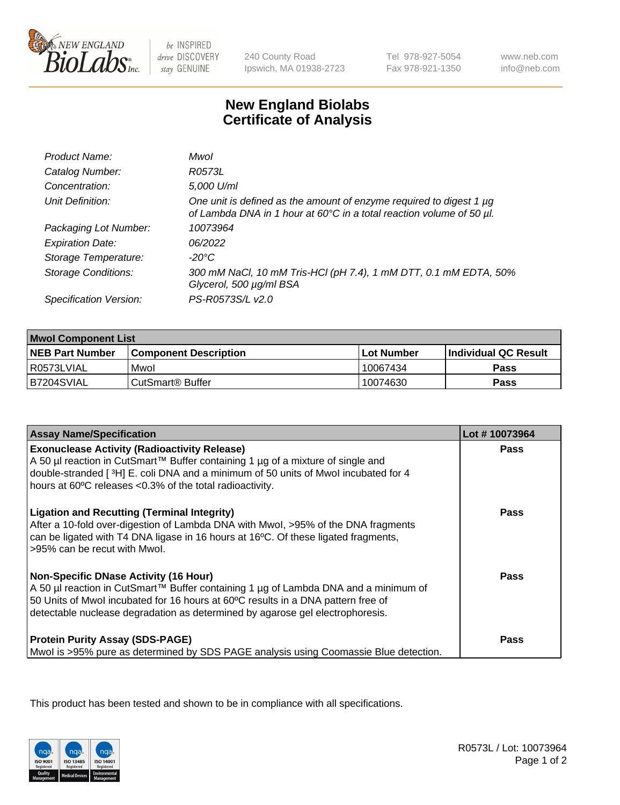

be INSPIRED drive DISCOVERY stay GENUINE

240 County Road Ipswich, MA 01938-2723 Tel 978-927-5054 Fax 978-921-1350

www.neb.com info@neb.com

## **New England Biolabs Certificate of Analysis**

| Product Name:              | Mwol                                                                                                                                        |
|----------------------------|---------------------------------------------------------------------------------------------------------------------------------------------|
| Catalog Number:            | R0573L                                                                                                                                      |
| Concentration:             | 5,000 U/ml                                                                                                                                  |
| Unit Definition:           | One unit is defined as the amount of enzyme required to digest 1 µg<br>of Lambda DNA in 1 hour at 60°C in a total reaction volume of 50 µl. |
| Packaging Lot Number:      | 10073964                                                                                                                                    |
| <b>Expiration Date:</b>    | 06/2022                                                                                                                                     |
| Storage Temperature:       | $-20^{\circ}$ C                                                                                                                             |
| <b>Storage Conditions:</b> | 300 mM NaCl, 10 mM Tris-HCl (pH 7.4), 1 mM DTT, 0.1 mM EDTA, 50%<br>Glycerol, 500 µg/ml BSA                                                 |
| Specification Version:     | PS-R0573S/L v2.0                                                                                                                            |

| <b>Mwol Component List</b> |                              |             |                             |  |
|----------------------------|------------------------------|-------------|-----------------------------|--|
| <b>NEB Part Number</b>     | <b>Component Description</b> | ⊺Lot Number | <b>Individual QC Result</b> |  |
| I R0573LVIAL               | Mwol                         | 10067434    | Pass                        |  |
| B7204SVIAL                 | l CutSmart® Buffer           | 10074630    | Pass                        |  |

| <b>Assay Name/Specification</b>                                                                                                                                                                                                                                                                          | Lot #10073964 |
|----------------------------------------------------------------------------------------------------------------------------------------------------------------------------------------------------------------------------------------------------------------------------------------------------------|---------------|
| <b>Exonuclease Activity (Radioactivity Release)</b><br>A 50 µl reaction in CutSmart™ Buffer containing 1 µg of a mixture of single and<br>double-stranded [3H] E. coli DNA and a minimum of 50 units of Mwol incubated for 4<br>hours at 60°C releases <0.3% of the total radioactivity.                 | <b>Pass</b>   |
| <b>Ligation and Recutting (Terminal Integrity)</b><br>After a 10-fold over-digestion of Lambda DNA with Mwol, >95% of the DNA fragments<br>can be ligated with T4 DNA ligase in 16 hours at 16°C. Of these ligated fragments,<br>>95% can be recut with Mwol.                                            | Pass          |
| <b>Non-Specific DNase Activity (16 Hour)</b><br>A 50 µl reaction in CutSmart™ Buffer containing 1 µg of Lambda DNA and a minimum of<br>50 Units of Mwol incubated for 16 hours at 60°C results in a DNA pattern free of<br>detectable nuclease degradation as determined by agarose gel electrophoresis. | Pass          |
| <b>Protein Purity Assay (SDS-PAGE)</b><br>Mwol is >95% pure as determined by SDS PAGE analysis using Coomassie Blue detection.                                                                                                                                                                           | Pass          |

This product has been tested and shown to be in compliance with all specifications.